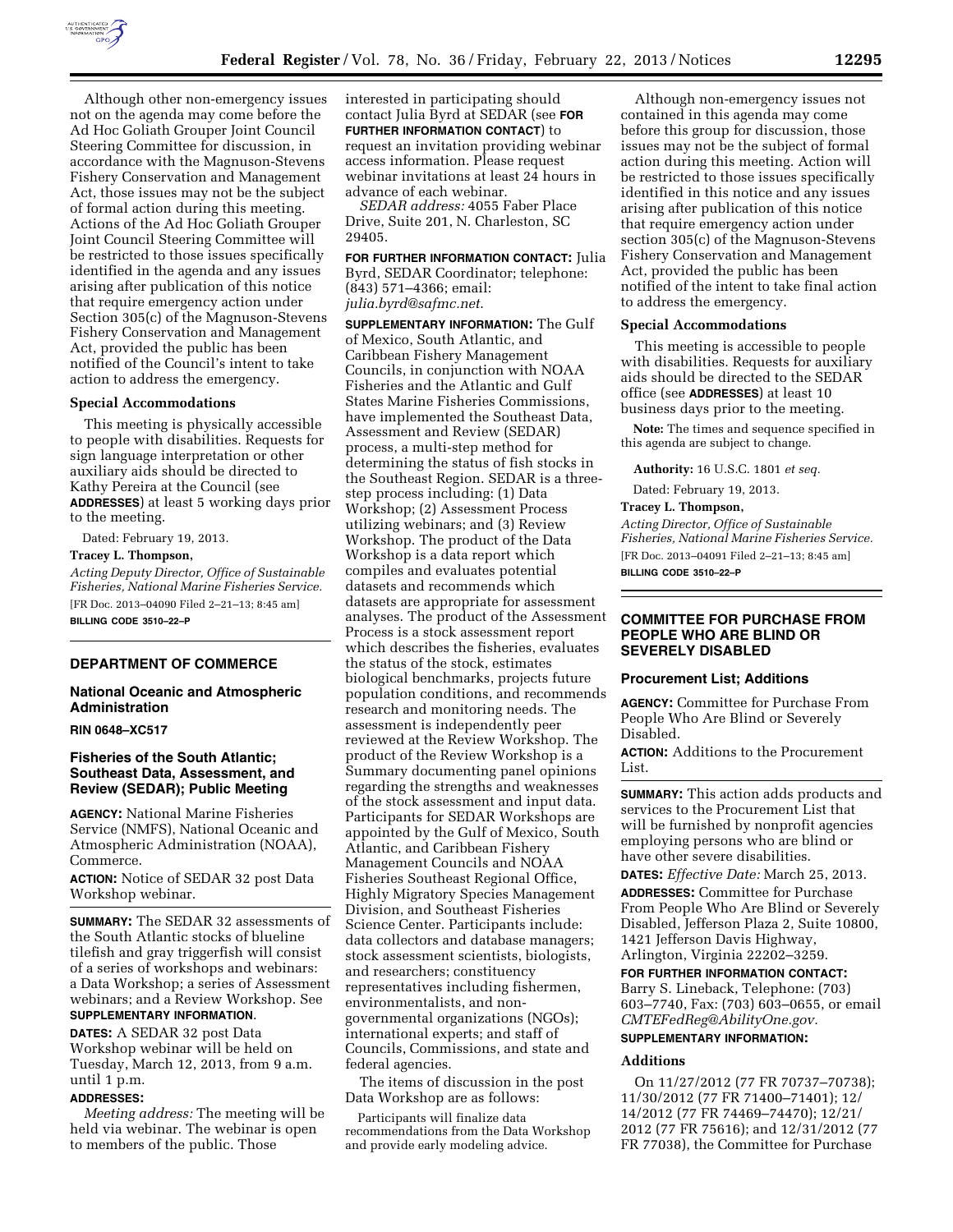

Although other non-emergency issues not on the agenda may come before the Ad Hoc Goliath Grouper Joint Council Steering Committee for discussion, in accordance with the Magnuson-Stevens Fishery Conservation and Management Act, those issues may not be the subject of formal action during this meeting. Actions of the Ad Hoc Goliath Grouper Joint Council Steering Committee will be restricted to those issues specifically identified in the agenda and any issues arising after publication of this notice that require emergency action under Section 305(c) of the Magnuson-Stevens Fishery Conservation and Management Act, provided the public has been notified of the Council's intent to take action to address the emergency.

### **Special Accommodations**

This meeting is physically accessible to people with disabilities. Requests for sign language interpretation or other auxiliary aids should be directed to Kathy Pereira at the Council (see **ADDRESSES**) at least 5 working days prior to the meeting.

Dated: February 19, 2013.

# **Tracey L. Thompson,**

*Acting Deputy Director, Office of Sustainable Fisheries, National Marine Fisheries Service.*  [FR Doc. 2013–04090 Filed 2–21–13; 8:45 am] **BILLING CODE 3510–22–P** 

#### **DEPARTMENT OF COMMERCE**

### **National Oceanic and Atmospheric Administration**

### **RIN 0648–XC517**

# **Fisheries of the South Atlantic; Southeast Data, Assessment, and Review (SEDAR); Public Meeting**

**AGENCY:** National Marine Fisheries Service (NMFS), National Oceanic and Atmospheric Administration (NOAA), Commerce.

**ACTION:** Notice of SEDAR 32 post Data Workshop webinar.

**SUMMARY:** The SEDAR 32 assessments of the South Atlantic stocks of blueline tilefish and gray triggerfish will consist of a series of workshops and webinars: a Data Workshop; a series of Assessment webinars; and a Review Workshop. See **SUPPLEMENTARY INFORMATION**.

**DATES:** A SEDAR 32 post Data Workshop webinar will be held on Tuesday, March 12, 2013, from 9 a.m. until 1 p.m.

#### **ADDRESSES:**

*Meeting address:* The meeting will be held via webinar. The webinar is open to members of the public. Those

interested in participating should contact Julia Byrd at SEDAR (see **FOR FURTHER INFORMATION CONTACT**) to request an invitation providing webinar access information. Please request webinar invitations at least 24 hours in advance of each webinar.

*SEDAR address:* 4055 Faber Place Drive, Suite 201, N. Charleston, SC 29405.

**FOR FURTHER INFORMATION CONTACT:** Julia Byrd, SEDAR Coordinator; telephone: (843) 571–4366; email: *[julia.byrd@safmc.net](mailto:julia.byrd@safmc.net)*.

**SUPPLEMENTARY INFORMATION:** The Gulf of Mexico, South Atlantic, and Caribbean Fishery Management Councils, in conjunction with NOAA Fisheries and the Atlantic and Gulf States Marine Fisheries Commissions, have implemented the Southeast Data, Assessment and Review (SEDAR) process, a multi-step method for determining the status of fish stocks in the Southeast Region. SEDAR is a threestep process including: (1) Data Workshop; (2) Assessment Process utilizing webinars; and (3) Review Workshop. The product of the Data Workshop is a data report which compiles and evaluates potential datasets and recommends which datasets are appropriate for assessment analyses. The product of the Assessment Process is a stock assessment report which describes the fisheries, evaluates the status of the stock, estimates biological benchmarks, projects future population conditions, and recommends research and monitoring needs. The assessment is independently peer reviewed at the Review Workshop. The product of the Review Workshop is a Summary documenting panel opinions regarding the strengths and weaknesses of the stock assessment and input data. Participants for SEDAR Workshops are appointed by the Gulf of Mexico, South Atlantic, and Caribbean Fishery Management Councils and NOAA Fisheries Southeast Regional Office, Highly Migratory Species Management Division, and Southeast Fisheries Science Center. Participants include: data collectors and database managers; stock assessment scientists, biologists, and researchers; constituency representatives including fishermen, environmentalists, and nongovernmental organizations (NGOs); international experts; and staff of Councils, Commissions, and state and federal agencies.

The items of discussion in the post Data Workshop are as follows:

Participants will finalize data recommendations from the Data Workshop and provide early modeling advice.

Although non-emergency issues not contained in this agenda may come before this group for discussion, those issues may not be the subject of formal action during this meeting. Action will be restricted to those issues specifically identified in this notice and any issues arising after publication of this notice that require emergency action under section 305(c) of the Magnuson-Stevens Fishery Conservation and Management Act, provided the public has been notified of the intent to take final action to address the emergency.

#### **Special Accommodations**

This meeting is accessible to people with disabilities. Requests for auxiliary aids should be directed to the SEDAR office (see **ADDRESSES**) at least 10 business days prior to the meeting.

**Note:** The times and sequence specified in this agenda are subject to change.

**Authority:** 16 U.S.C. 1801 *et seq.* 

Dated: February 19, 2013.

#### **Tracey L. Thompson,**

*Acting Director, Office of Sustainable Fisheries, National Marine Fisheries Service.*  [FR Doc. 2013–04091 Filed 2–21–13; 8:45 am] **BILLING CODE 3510–22–P** 

### **COMMITTEE FOR PURCHASE FROM PEOPLE WHO ARE BLIND OR SEVERELY DISABLED**

#### **Procurement List; Additions**

**AGENCY:** Committee for Purchase From People Who Are Blind or Severely Disabled.

**ACTION:** Additions to the Procurement List.

**SUMMARY:** This action adds products and services to the Procurement List that will be furnished by nonprofit agencies employing persons who are blind or have other severe disabilities.

**DATES:** *Effective Date:* March 25, 2013. **ADDRESSES:** Committee for Purchase From People Who Are Blind or Severely Disabled, Jefferson Plaza 2, Suite 10800, 1421 Jefferson Davis Highway, Arlington, Virginia 22202–3259.

**FOR FURTHER INFORMATION CONTACT:**  Barry S. Lineback, Telephone: (703) 603–7740, Fax: (703) 603–0655, or email *[CMTEFedReg@AbilityOne.gov.](mailto:CMTEFedReg@AbilityOne.gov)* 

# **SUPPLEMENTARY INFORMATION:**

### **Additions**

On 11/27/2012 (77 FR 70737–70738); 11/30/2012 (77 FR 71400–71401); 12/ 14/2012 (77 FR 74469–74470); 12/21/ 2012 (77 FR 75616); and 12/31/2012 (77 FR 77038), the Committee for Purchase